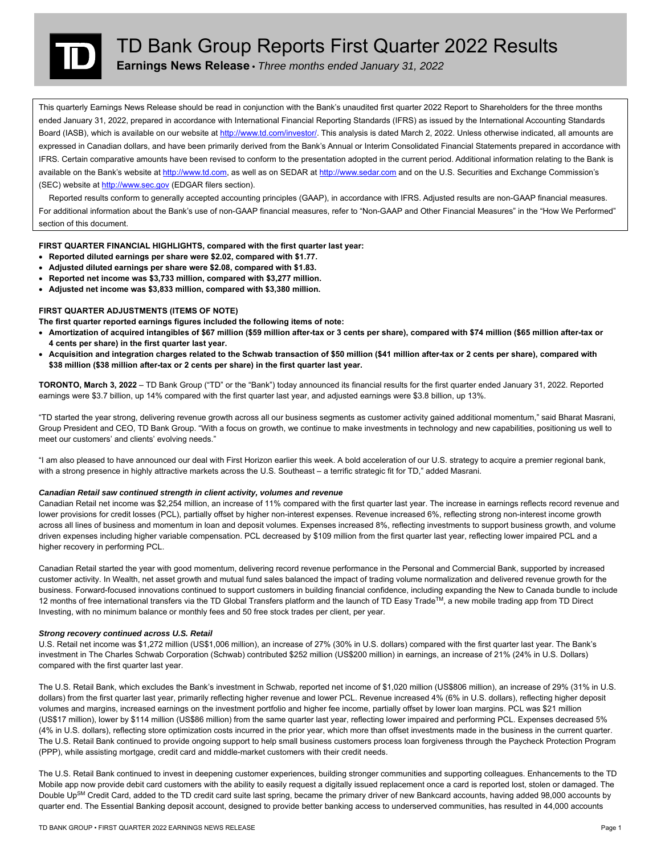

**Earnings News Release •** *Three months ended January 31, 2022*

This quarterly Earnings News Release should be read in conjunction with the Bank's unaudited first quarter 2022 Report to Shareholders for the three months ended January 31, 2022, prepared in accordance with International Financial Reporting Standards (IFRS) as issued by the International Accounting Standards Board (IASB), which is available on our website at http://www.td.com/investor/. This analysis is dated March 2, 2022. Unless otherwise indicated, all amounts are expressed in Canadian dollars, and have been primarily derived from the Bank's Annual or Interim Consolidated Financial Statements prepared in accordance with IFRS. Certain comparative amounts have been revised to conform to the presentation adopted in the current period. Additional information relating to the Bank is available on the Bank's website at http://www.td.com, as well as on SEDAR at http://www.sedar.com and on the U.S. Securities and Exchange Commission's (SEC) website at http://www.sec.gov (EDGAR filers section).

Reported results conform to generally accepted accounting principles (GAAP), in accordance with IFRS. Adjusted results are non-GAAP financial measures. For additional information about the Bank's use of non-GAAP financial measures, refer to "Non-GAAP and Other Financial Measures" in the "How We Performed" section of this document.

**FIRST QUARTER FINANCIAL HIGHLIGHTS, compared with the first quarter last year:** 

- **Reported diluted earnings per share were \$2.02, compared with \$1.77.**
- **Adjusted diluted earnings per share were \$2.08, compared with \$1.83.**
- **Reported net income was \$3,733 million, compared with \$3,277 million.**
- **Adjusted net income was \$3,833 million, compared with \$3,380 million.**

# **FIRST QUARTER ADJUSTMENTS (ITEMS OF NOTE)**

**The first quarter reported earnings figures included the following items of note:** 

- **Amortization of acquired intangibles of \$67 million (\$59 million after-tax or 3 cents per share), compared with \$74 million (\$65 million after-tax or 4 cents per share) in the first quarter last year.**
- **Acquisition and integration charges related to the Schwab transaction of \$50 million (\$41 million after-tax or 2 cents per share), compared with \$38 million (\$38 million after-tax or 2 cents per share) in the first quarter last year.**

**TORONTO, March 3, 2022** – TD Bank Group ("TD" or the "Bank") today announced its financial results for the first quarter ended January 31, 2022. Reported earnings were \$3.7 billion, up 14% compared with the first quarter last year, and adjusted earnings were \$3.8 billion, up 13%.

"TD started the year strong, delivering revenue growth across all our business segments as customer activity gained additional momentum," said Bharat Masrani, Group President and CEO, TD Bank Group. "With a focus on growth, we continue to make investments in technology and new capabilities, positioning us well to meet our customers' and clients' evolving needs."

"I am also pleased to have announced our deal with First Horizon earlier this week. A bold acceleration of our U.S. strategy to acquire a premier regional bank, with a strong presence in highly attractive markets across the U.S. Southeast – a terrific strategic fit for TD," added Masrani.

## *Canadian Retail saw continued strength in client activity, volumes and revenue*

Canadian Retail net income was \$2,254 million, an increase of 11% compared with the first quarter last year. The increase in earnings reflects record revenue and lower provisions for credit losses (PCL), partially offset by higher non-interest expenses. Revenue increased 6%, reflecting strong non-interest income growth across all lines of business and momentum in loan and deposit volumes. Expenses increased 8%, reflecting investments to support business growth, and volume driven expenses including higher variable compensation. PCL decreased by \$109 million from the first quarter last year, reflecting lower impaired PCL and a higher recovery in performing PCL.

Canadian Retail started the year with good momentum, delivering record revenue performance in the Personal and Commercial Bank, supported by increased customer activity. In Wealth, net asset growth and mutual fund sales balanced the impact of trading volume normalization and delivered revenue growth for the business. Forward-focused innovations continued to support customers in building financial confidence, including expanding the New to Canada bundle to include 12 months of free international transfers via the TD Global Transfers platform and the launch of TD Easy Trade<sup>TM</sup>, a new mobile trading app from TD Direct Investing, with no minimum balance or monthly fees and 50 free stock trades per client, per year.

## *Strong recovery continued across U.S. Retail*

U.S. Retail net income was \$1,272 million (US\$1,006 million), an increase of 27% (30% in U.S. dollars) compared with the first quarter last year. The Bank's investment in The Charles Schwab Corporation (Schwab) contributed \$252 million (US\$200 million) in earnings, an increase of 21% (24% in U.S. Dollars) compared with the first quarter last year.

The U.S. Retail Bank, which excludes the Bank's investment in Schwab, reported net income of \$1,020 million (US\$806 million), an increase of 29% (31% in U.S. dollars) from the first quarter last year, primarily reflecting higher revenue and lower PCL. Revenue increased 4% (6% in U.S. dollars), reflecting higher deposit volumes and margins, increased earnings on the investment portfolio and higher fee income, partially offset by lower loan margins. PCL was \$21 million (US\$17 million), lower by \$114 million (US\$86 million) from the same quarter last year, reflecting lower impaired and performing PCL. Expenses decreased 5% (4% in U.S. dollars), reflecting store optimization costs incurred in the prior year, which more than offset investments made in the business in the current quarter. The U.S. Retail Bank continued to provide ongoing support to help small business customers process loan forgiveness through the Paycheck Protection Program (PPP), while assisting mortgage, credit card and middle-market customers with their credit needs.

The U.S. Retail Bank continued to invest in deepening customer experiences, building stronger communities and supporting colleagues. Enhancements to the TD Mobile app now provide debit card customers with the ability to easily request a digitally issued replacement once a card is reported lost, stolen or damaged. The Double Up<sup>SM</sup> Credit Card, added to the TD credit card suite last spring, became the primary driver of new Bankcard accounts, having added 98,000 accounts by quarter end. The Essential Banking deposit account, designed to provide better banking access to underserved communities, has resulted in 44,000 accounts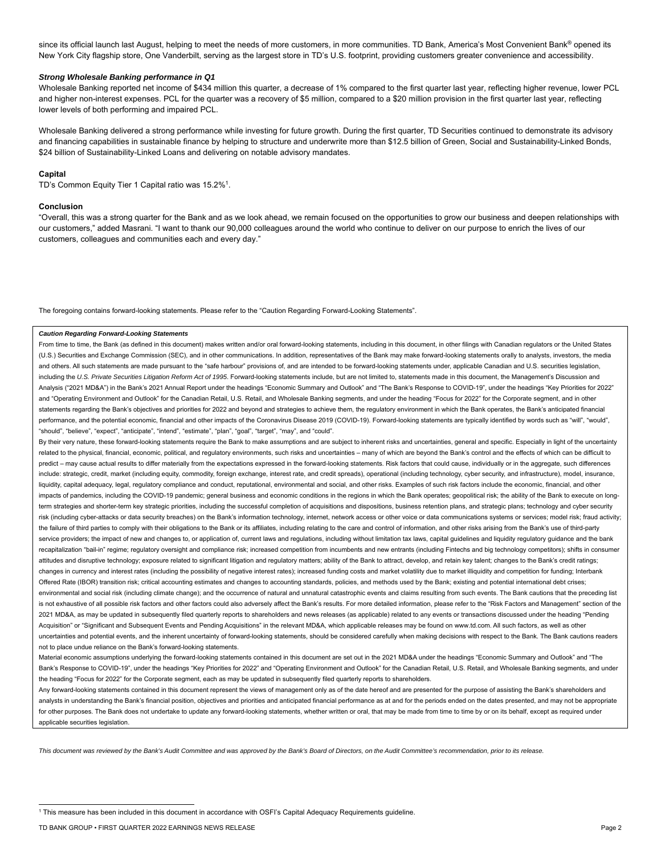since its official launch last August, helping to meet the needs of more customers, in more communities. TD Bank, America's Most Convenient Bank® opened its New York City flagship store, One Vanderbilt, serving as the largest store in TD's U.S. footprint, providing customers greater convenience and accessibility.

### *Strong Wholesale Banking performance in Q1*

Wholesale Banking reported net income of \$434 million this quarter, a decrease of 1% compared to the first quarter last year, reflecting higher revenue, lower PCL and higher non-interest expenses. PCL for the quarter was a recovery of \$5 million, compared to a \$20 million provision in the first quarter last year, reflecting lower levels of both performing and impaired PCL.

Wholesale Banking delivered a strong performance while investing for future growth. During the first quarter, TD Securities continued to demonstrate its advisory and financing capabilities in sustainable finance by helping to structure and underwrite more than \$12.5 billion of Green, Social and Sustainability-Linked Bonds, \$24 billion of Sustainability-Linked Loans and delivering on notable advisory mandates.

#### **Capital**

TD's Common Equity Tier 1 Capital ratio was 15.2%1.

#### **Conclusion**

"Overall, this was a strong quarter for the Bank and as we look ahead, we remain focused on the opportunities to grow our business and deepen relationships with our customers," added Masrani. "I want to thank our 90,000 colleagues around the world who continue to deliver on our purpose to enrich the lives of our customers, colleagues and communities each and every day."

The foregoing contains forward-looking statements. Please refer to the "Caution Regarding Forward-Looking Statements".

#### *Caution Regarding Forward-Looking Statements*

From time to time, the Bank (as defined in this document) makes written and/or oral forward-looking statements, including in this document, in other filings with Canadian regulators or the United States (U.S.) Securities and Exchange Commission (SEC), and in other communications. In addition, representatives of the Bank may make forward-looking statements orally to analysts, investors, the media and others. All such statements are made pursuant to the "safe harbour" provisions of, and are intended to be forward-looking statements under, applicable Canadian and U.S. securities legislation, including the *U.S. Private Securities Litigation Reform Act of 1995*. Forward-looking statements include, but are not limited to, statements made in this document, the Management's Discussion and Analysis ("2021 MD&A") in the Bank's 2021 Annual Report under the headings "Economic Summary and Outlook" and "The Bank's Response to COVID-19", under the headings "Key Priorities for 2022" and "Operating Environment and Outlook" for the Canadian Retail, U.S. Retail, and Wholesale Banking segments, and under the heading "Focus for 2022" for the Corporate segment, and in other statements regarding the Bank's objectives and priorities for 2022 and beyond and strategies to achieve them, the regulatory environment in which the Bank operates, the Bank's anticipated financial performance, and the potential economic, financial and other impacts of the Coronavirus Disease 2019 (COVID-19). Forward-looking statements are typically identified by words such as "will", "would", "should", "believe", "expect", "anticipate", "intend", "estimate", "plan", "goal", "target", "may", and "could".

By their very nature, these forward-looking statements require the Bank to make assumptions and are subject to inherent risks and uncertainties, general and specific. Especially in light of the uncertainty related to the physical, financial, economic, political, and regulatory environments, such risks and uncertainties - many of which are beyond the Bank's control and the effects of which can be difficult to predict – may cause actual results to differ materially from the expectations expressed in the forward-looking statements. Risk factors that could cause, individually or in the aggregate, such differences include: strategic, credit, market (including equity, commodity, foreign exchange, interest rate, and credit spreads), operational (including technology, cyber security, and infrastructure), model, insurance, liquidity, capital adequacy, legal, regulatory compliance and conduct, reputational, environmental and social, and other risks. Examples of such risk factors include the economic, financial, and other impacts of pandemics, including the COVID-19 pandemic; general business and economic conditions in the regions in which the Bank operates; geopolitical risk; the ability of the Bank to execute on longterm strategies and shorter-term key strategic priorities, including the successful completion of acquisitions and dispositions, business retention plans, and strategic plans; technology and cyber security risk (including cyber-attacks or data security breaches) on the Bank's information technology, internet, network access or other voice or data communications systems or services; model risk; fraud activity; the failure of third parties to comply with their obligations to the Bank or its affiliates, including relating to the care and control of information, and other risks arising from the Bank's use of third-party service providers; the impact of new and changes to, or application of, current laws and regulations, including without limitation tax laws, capital guidelines and liquidity regulatory quidance and the bank recapitalization "bail-in" regime; regulatory oversight and compliance risk; increased competition from incumbents and new entrants (including Fintechs and big technology competitors); shifts in consumer attitudes and disruptive technology; exposure related to significant litigation and regulatory matters; ability of the Bank to attract, develop, and retain key talent; changes to the Bank's credit ratings; changes in currency and interest rates (including the possibility of negative interest rates); increased funding costs and market volatility due to market illiquidity and competition for funding; Interbank Offered Rate (IBOR) transition risk; critical accounting estimates and changes to accounting standards, policies, and methods used by the Bank; existing and potential international debt crises; environmental and social risk (including climate change); and the occurrence of natural and unnatural catastrophic events and claims resulting from such events. The Bank cautions that the preceding list is not exhaustive of all possible risk factors and other factors could also adversely affect the Bank's results. For more detailed information, please refer to the "Risk Factors and Management" section of the 2021 MD&A, as may be updated in subsequently filed quarterly reports to shareholders and news releases (as applicable) related to any events or transactions discussed under the heading "Pending Acquisition" or "Significant and Subsequent Events and Pending Acquisitions" in the relevant MD&A, which applicable releases may be found on www.td.com. All such factors, as well as other uncertainties and potential events, and the inherent uncertainty of forward-looking statements, should be considered carefully when making decisions with respect to the Bank. The Bank cautions readers not to place undue reliance on the Bank's forward-looking statements.

Material economic assumptions underlying the forward-looking statements contained in this document are set out in the 2021 MD&A under the headings "Economic Summary and Outlook" and "The Bank's Response to COVID-19", under the headings "Key Priorities for 2022" and "Operating Environment and Outlook" for the Canadian Retail, U.S. Retail, and Wholesale Banking segments, and under the heading "Focus for 2022" for the Corporate segment, each as may be updated in subsequently filed quarterly reports to shareholders.

Any forward-looking statements contained in this document represent the views of management only as of the date hereof and are presented for the purpose of assisting the Bank's shareholders and analysts in understanding the Bank's financial position, objectives and priorities and anticipated financial performance as at and for the periods ended on the dates presented, and may not be appropriate for other purposes. The Bank does not undertake to update any forward-looking statements, whether written or oral, that may be made from time to time by or on its behalf, except as required under applicable securities legislation.

*This document was reviewed by the Bank's Audit Committee and was approved by the Bank's Board of Directors, on the Audit Committee's recommendation, prior to its release.* 

<sup>1</sup> This measure has been included in this document in accordance with OSFI's Capital Adequacy Requirements guideline.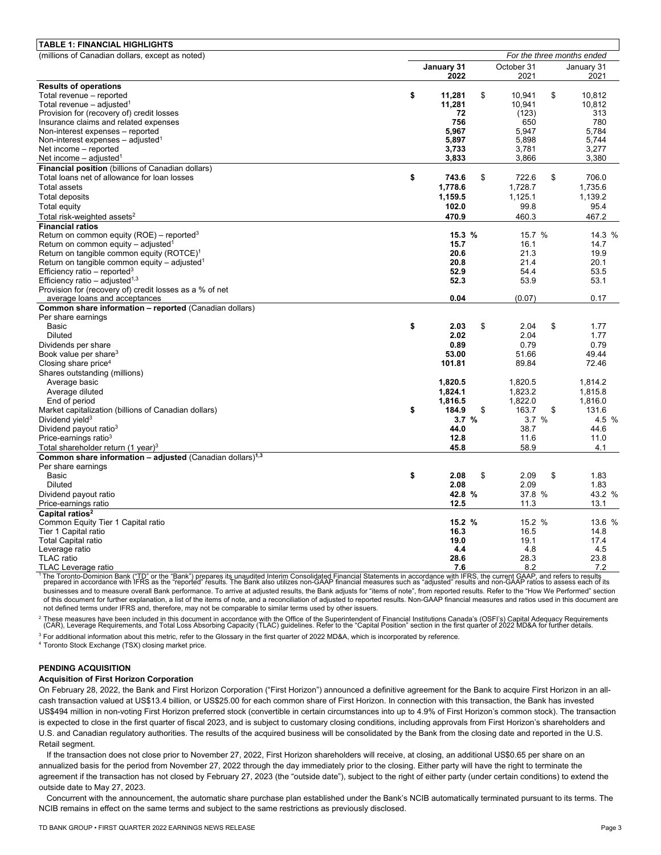| <b>TABLE 1: FINANCIAL HIGHLIGHTS</b>                                  |                            |    |         |            |         |  |
|-----------------------------------------------------------------------|----------------------------|----|---------|------------|---------|--|
| (millions of Canadian dollars, except as noted)                       | For the three months ended |    |         |            |         |  |
|                                                                       | October 31<br>January 31   |    |         | January 31 |         |  |
|                                                                       | 2022                       |    | 2021    |            | 2021    |  |
| <b>Results of operations</b>                                          |                            |    |         |            |         |  |
| Total revenue - reported                                              | \$<br>11,281               | \$ | 10,941  | \$         | 10,812  |  |
| Total revenue - adjusted <sup>1</sup>                                 | 11,281                     |    | 10,941  |            | 10,812  |  |
| Provision for (recovery of) credit losses                             | 72                         |    | (123)   |            | 313     |  |
| Insurance claims and related expenses                                 | 756                        |    | 650     |            | 780     |  |
| Non-interest expenses - reported                                      | 5.967                      |    | 5,947   |            | 5.784   |  |
| Non-interest expenses - adjusted <sup>1</sup>                         | 5,897                      |    | 5,898   |            | 5.744   |  |
| Net income - reported                                                 | 3,733                      |    | 3,781   |            | 3,277   |  |
| Net income $-$ adjusted <sup>1</sup>                                  | 3,833                      |    | 3,866   |            | 3,380   |  |
| Financial position (billions of Canadian dollars)                     |                            |    |         |            |         |  |
| Total loans net of allowance for loan losses                          | \$<br>743.6                | \$ | 722.6   | \$         | 706.0   |  |
| Total assets                                                          | 1,778.6                    |    | 1,728.7 |            | 1,735.6 |  |
| Total deposits                                                        | 1,159.5                    |    | 1,125.1 |            | 1.139.2 |  |
|                                                                       | 102.0                      |    | 99.8    |            | 95.4    |  |
| Total equity                                                          |                            |    |         |            |         |  |
| Total risk-weighted assets <sup>2</sup>                               | 470.9                      |    | 460.3   |            | 467.2   |  |
| <b>Financial ratios</b>                                               |                            |    |         |            |         |  |
| Return on common equity (ROE) – reported <sup>3</sup>                 | 15.3%                      |    | 15.7 %  |            | 14.3 %  |  |
| Return on common equity - adjusted <sup>1</sup>                       | 15.7                       |    | 16.1    |            | 14.7    |  |
| Return on tangible common equity (ROTCE) <sup>1</sup>                 | 20.6                       |    | 21.3    |            | 19.9    |  |
| Return on tangible common equity $-$ adjusted <sup>1</sup>            | 20.8                       |    | 21.4    |            | 20.1    |  |
| Efficiency ratio – reported <sup>3</sup>                              | 52.9                       |    | 54.4    |            | 53.5    |  |
| Efficiency ratio – adjusted <sup>1,3</sup>                            | 52.3                       |    | 53.9    |            | 53.1    |  |
| Provision for (recovery of) credit losses as a % of net               |                            |    |         |            |         |  |
| average loans and acceptances                                         | 0.04                       |    | (0.07)  |            | 0.17    |  |
| Common share information - reported (Canadian dollars)                |                            |    |         |            |         |  |
| Per share earnings<br>Basic                                           | \$<br>2.03                 | \$ | 2.04    | \$         | 1.77    |  |
| <b>Diluted</b>                                                        | 2.02                       |    | 2.04    |            | 1.77    |  |
|                                                                       |                            |    |         |            |         |  |
| Dividends per share                                                   | 0.89                       |    | 0.79    |            | 0.79    |  |
| Book value per share <sup>3</sup>                                     | 53.00                      |    | 51.66   |            | 49.44   |  |
| Closing share price <sup>4</sup>                                      | 101.81                     |    | 89.84   |            | 72.46   |  |
| Shares outstanding (millions)                                         |                            |    |         |            |         |  |
| Average basic                                                         | 1,820.5                    |    | 1,820.5 |            | 1,814.2 |  |
| Average diluted                                                       | 1,824.1                    |    | 1,823.2 |            | 1,815.8 |  |
| End of period                                                         | 1,816.5                    |    | 1,822.0 |            | 1,816.0 |  |
| Market capitalization (billions of Canadian dollars)                  | \$<br>184.9                | \$ | 163.7   | \$         | 131.6   |  |
| Dividend yield <sup>3</sup>                                           | 3.7%                       |    | 3.7%    |            | 4.5 %   |  |
| Dividend payout ratio <sup>3</sup>                                    | 44.0                       |    | 38.7    |            | 44.6    |  |
| Price-earnings ratio <sup>3</sup>                                     | 12.8                       |    | 11.6    |            | 11.0    |  |
| Total shareholder return (1 year) <sup>3</sup>                        | 45.8                       |    | 58.9    |            | 4.1     |  |
| Common share information - adjusted (Canadian dollars) <sup>1,3</sup> |                            |    |         |            |         |  |
| Per share earnings                                                    |                            |    |         |            |         |  |
| Basic                                                                 | \$<br>2.08                 | \$ | 2.09    | \$         | 1.83    |  |
| Diluted                                                               | 2.08                       |    | 2.09    |            | 1.83    |  |
| Dividend payout ratio                                                 | 42.8 %                     |    | 37.8 %  |            | 43.2 %  |  |
| Price-earnings ratio                                                  | 12.5                       |    | 11.3    |            | 13.1    |  |
| Capital ratios <sup>2</sup>                                           |                            |    |         |            |         |  |
| Common Equity Tier 1 Capital ratio                                    | 15.2%                      |    | 15.2 %  |            | 13.6 %  |  |
| Tier 1 Capital ratio                                                  | 16.3                       |    | 16.5    |            | 14.8    |  |
| <b>Total Capital ratio</b>                                            | 19.0                       |    | 19.1    |            | 17.4    |  |
| Leverage ratio                                                        | 4.4                        |    | 4.8     |            | 4.5     |  |
| TLAC ratio                                                            | 28.6                       |    | 28.3    |            | 23.8    |  |
| TLAC Leverage ratio                                                   | 7.6                        |    | 8.2     |            | 7.2     |  |

<u>TLAC Leverage ratio</u><br>The Toronto-Dominion Bank ("TD" or the "Bank") prepares its unaudited Interim Consolidated Financial Statements in accordance with IFRS, the current GAAP, and refers to results<br>The Toronto-Dominion B businesses and to measure overall Bank performance. To arrive at adjusted results, the Bank adjusts for "items of note", from reported results. Refer to the "How We Performed" section of this document for further explanation, a list of the items of note, and a reconciliation of adjusted to reported results. Non-GAAP financial measures and ratios used in this document are not defined terms under IFRS and, therefore, may not be comparable to similar terms used by other issuers.

<sup>2</sup> These measures have been included in this document in accordance with the Office of the Superintendent of Financial Institutions Canada's (OSFI's) Capital Adequacy Requirements<br>(CAR), Leverage Requirements, and Total L <sup>3</sup> For additional information about this metric, refer to the Glossary in the first quarter of 2022 MD&A, which is incorporated by reference.

<sup>4</sup>Toronto Stock Exchange (TSX) closing market price.

## **PENDING ACQUISITION**

## **Acquisition of First Horizon Corporation**

On February 28, 2022, the Bank and First Horizon Corporation ("First Horizon") announced a definitive agreement for the Bank to acquire First Horizon in an allcash transaction valued at US\$13.4 billion, or US\$25.00 for each common share of First Horizon. In connection with this transaction, the Bank has invested US\$494 million in non-voting First Horizon preferred stock (convertible in certain circumstances into up to 4.9% of First Horizon's common stock). The transaction is expected to close in the first quarter of fiscal 2023, and is subject to customary closing conditions, including approvals from First Horizon's shareholders and U.S. and Canadian regulatory authorities. The results of the acquired business will be consolidated by the Bank from the closing date and reported in the U.S. Retail segment.

If the transaction does not close prior to November 27, 2022, First Horizon shareholders will receive, at closing, an additional US\$0.65 per share on an annualized basis for the period from November 27, 2022 through the day immediately prior to the closing. Either party will have the right to terminate the agreement if the transaction has not closed by February 27, 2023 (the "outside date"), subject to the right of either party (under certain conditions) to extend the outside date to May 27, 2023.

Concurrent with the announcement, the automatic share purchase plan established under the Bank's NCIB automatically terminated pursuant to its terms. The NCIB remains in effect on the same terms and subject to the same restrictions as previously disclosed.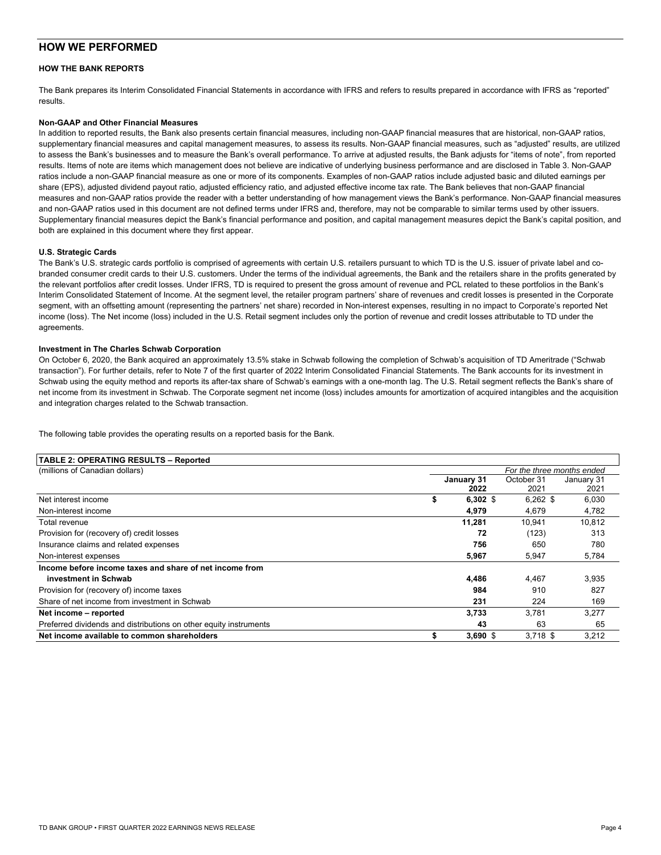# **HOW WE PERFORMED**

## **HOW THE BANK REPORTS**

The Bank prepares its Interim Consolidated Financial Statements in accordance with IFRS and refers to results prepared in accordance with IFRS as "reported" results.

## **Non-GAAP and Other Financial Measures**

In addition to reported results, the Bank also presents certain financial measures, including non-GAAP financial measures that are historical, non-GAAP ratios, supplementary financial measures and capital management measures, to assess its results. Non-GAAP financial measures, such as "adjusted" results, are utilized to assess the Bank's businesses and to measure the Bank's overall performance. To arrive at adjusted results, the Bank adjusts for "items of note", from reported results. Items of note are items which management does not believe are indicative of underlying business performance and are disclosed in Table 3. Non-GAAP ratios include a non-GAAP financial measure as one or more of its components. Examples of non-GAAP ratios include adjusted basic and diluted earnings per share (EPS), adjusted dividend payout ratio, adjusted efficiency ratio, and adjusted effective income tax rate. The Bank believes that non-GAAP financial measures and non-GAAP ratios provide the reader with a better understanding of how management views the Bank's performance. Non-GAAP financial measures and non-GAAP ratios used in this document are not defined terms under IFRS and, therefore, may not be comparable to similar terms used by other issuers. Supplementary financial measures depict the Bank's financial performance and position, and capital management measures depict the Bank's capital position, and both are explained in this document where they first appear.

## **U.S. Strategic Cards**

The Bank's U.S. strategic cards portfolio is comprised of agreements with certain U.S. retailers pursuant to which TD is the U.S. issuer of private label and cobranded consumer credit cards to their U.S. customers. Under the terms of the individual agreements, the Bank and the retailers share in the profits generated by the relevant portfolios after credit losses. Under IFRS, TD is required to present the gross amount of revenue and PCL related to these portfolios in the Bank's Interim Consolidated Statement of Income. At the segment level, the retailer program partners' share of revenues and credit losses is presented in the Corporate segment, with an offsetting amount (representing the partners' net share) recorded in Non-interest expenses, resulting in no impact to Corporate's reported Net income (loss). The Net income (loss) included in the U.S. Retail segment includes only the portion of revenue and credit losses attributable to TD under the agreements.

## **Investment in The Charles Schwab Corporation**

On October 6, 2020, the Bank acquired an approximately 13.5% stake in Schwab following the completion of Schwab's acquisition of TD Ameritrade ("Schwab transaction"). For further details, refer to Note 7 of the first quarter of 2022 Interim Consolidated Financial Statements. The Bank accounts for its investment in Schwab using the equity method and reports its after-tax share of Schwab's earnings with a one-month lag. The U.S. Retail segment reflects the Bank's share of net income from its investment in Schwab. The Corporate segment net income (loss) includes amounts for amortization of acquired intangibles and the acquisition and integration charges related to the Schwab transaction.

The following table provides the operating results on a reported basis for the Bank.

| <b>TABLE 2: OPERATING RESULTS - Reported</b>                      |                            |            |            |  |
|-------------------------------------------------------------------|----------------------------|------------|------------|--|
| (millions of Canadian dollars)                                    | For the three months ended |            |            |  |
|                                                                   | January 31                 | October 31 | January 31 |  |
|                                                                   | 2022                       | 2021       | 2021       |  |
| Net interest income<br>\$                                         | $6,302$ \$                 | $6,262$ \$ | 6,030      |  |
| Non-interest income                                               | 4,979                      | 4.679      | 4,782      |  |
| Total revenue                                                     | 11,281                     | 10.941     | 10,812     |  |
| Provision for (recovery of) credit losses                         | 72                         | (123)      | 313        |  |
| Insurance claims and related expenses                             | 756                        | 650        | 780        |  |
| Non-interest expenses                                             | 5,967                      | 5,947      | 5,784      |  |
| Income before income taxes and share of net income from           |                            |            |            |  |
| investment in Schwab                                              | 4,486                      | 4.467      | 3,935      |  |
| Provision for (recovery of) income taxes                          | 984                        | 910        | 827        |  |
| Share of net income from investment in Schwab                     | 231                        | 224        | 169        |  |
| Net income - reported                                             | 3,733                      | 3.781      | 3.277      |  |
| Preferred dividends and distributions on other equity instruments | 43                         | 63         | 65         |  |
| Net income available to common shareholders                       | $3,690$ \$                 | $3.718$ \$ | 3,212      |  |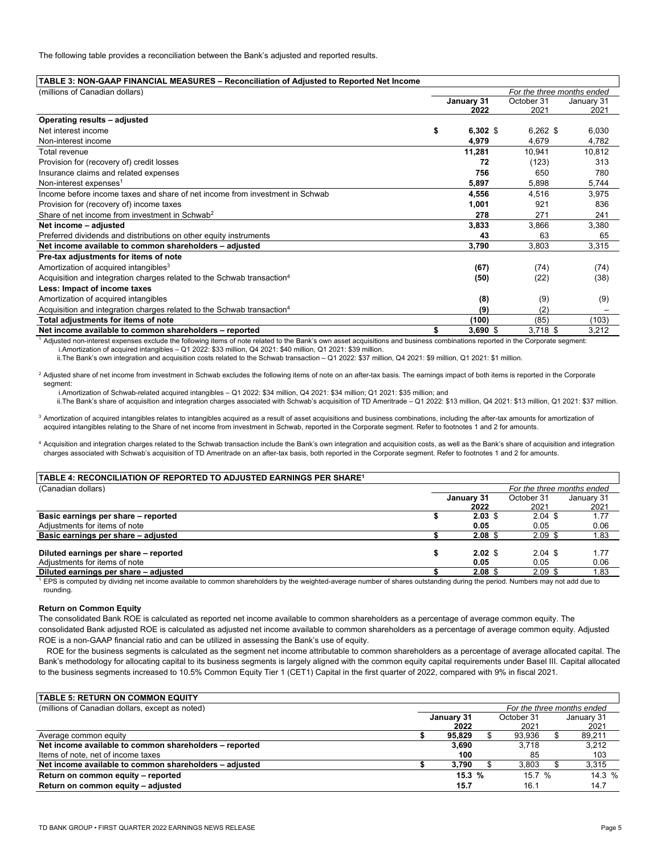The following table provides a reconciliation between the Bank's adjusted and reported results.

#### **TABLE 3: NON-GAAP FINANCIAL MEASURES – Reconciliation of Adjusted to Reported Net Income**

| (millions of Canadian dollars)                                                     | For the three months ended |            |            |            |
|------------------------------------------------------------------------------------|----------------------------|------------|------------|------------|
|                                                                                    |                            | January 31 | October 31 | January 31 |
|                                                                                    |                            | 2022       | 2021       | 2021       |
| Operating results - adjusted                                                       |                            |            |            |            |
| Net interest income                                                                | \$                         | $6,302$ \$ | $6,262$ \$ | 6,030      |
| Non-interest income                                                                |                            | 4,979      | 4,679      | 4,782      |
| Total revenue                                                                      |                            | 11,281     | 10.941     | 10.812     |
| Provision for (recovery of) credit losses                                          |                            | 72         | (123)      | 313        |
| Insurance claims and related expenses                                              |                            | 756        | 650        | 780        |
| Non-interest expenses <sup>1</sup>                                                 |                            | 5,897      | 5,898      | 5,744      |
| Income before income taxes and share of net income from investment in Schwab       |                            | 4,556      | 4,516      | 3,975      |
| Provision for (recovery of) income taxes                                           |                            | 1,001      | 921        | 836        |
| Share of net income from investment in Schwab <sup>2</sup>                         |                            | 278        | 271        | 241        |
| Net income - adjusted                                                              |                            | 3,833      | 3,866      | 3,380      |
| Preferred dividends and distributions on other equity instruments                  |                            | 43         | 63         | 65         |
| Net income available to common shareholders - adjusted                             |                            | 3,790      | 3,803      | 3,315      |
| Pre-tax adjustments for items of note                                              |                            |            |            |            |
| Amortization of acquired intangibles <sup>3</sup>                                  |                            | (67)       | (74)       | (74)       |
| Acquisition and integration charges related to the Schwab transaction <sup>4</sup> |                            | (50)       | (22)       | (38)       |
| Less: Impact of income taxes                                                       |                            |            |            |            |
| Amortization of acquired intangibles                                               |                            | (8)        | (9)        | (9)        |
| Acquisition and integration charges related to the Schwab transaction <sup>4</sup> |                            | (9)        | (2)        |            |
| Total adjustments for items of note                                                |                            | (100)      | (85)       | (103)      |
| Net income available to common shareholders - reported                             |                            | $3,690$ \$ | $3,718$ \$ | 3,212      |

<sup>1</sup> Adjusted non-interest expenses exclude the following items of note related to the Bank's own asset acquisitions and business combinations reported in the Corporate segment: i.Amortization of acquired intangibles – Q1 2022: \$33 million, Q4 2021: \$40 million, Q1 2021: \$39 million.

ii.The Bank's own integration and acquisition costs related to the Schwab transaction – Q1 2022: \$37 million, Q4 2021: \$9 million, Q1 2021: \$1 million.

<sup>2</sup> Adjusted share of net income from investment in Schwab excludes the following items of note on an after-tax basis. The earnings impact of both items is reported in the Corporate segment:

i.Amortization of Schwab-related acquired intangibles – Q1 2022: \$34 million, Q4 2021: \$34 million; Q1 2021: \$35 million; and

ii.The Bank's share of acquisition and integration charges associated with Schwab's acquisition of TD Ameritrade - Q1 2022: \$13 million, Q4 2021: \$13 million, Q1 2021: \$37 million.

 $^3$  Amortization of acquired intangibles relates to intangibles acquired as a result of asset acquisitions and business combinations, including the after-tax amounts for amortization of acquired intangibles relating to the Share of net income from investment in Schwab, reported in the Corporate segment. Refer to footnotes 1 and 2 for amounts.

4 Acquisition and integration charges related to the Schwab transaction include the Bank's own integration and acquisition costs, as well as the Bank's share of acquisition and integration charges associated with Schwab's acquisition of TD Ameritrade on an after-tax basis, both reported in the Corporate segment. Refer to footnotes 1 and 2 for amounts.

| TABLE 4: RECONCILIATION OF REPORTED TO ADJUSTED EARNINGS PER SHARE <sup>1</sup> |                   |                            |            |
|---------------------------------------------------------------------------------|-------------------|----------------------------|------------|
| (Canadian dollars)                                                              |                   | For the three months ended |            |
|                                                                                 | January 31        | October 31                 | January 31 |
|                                                                                 | 2022              | 2021                       | 2021       |
| Basic earnings per share - reported                                             | $2.03~\mathrm{s}$ | $2.04$ \$                  | 1.77       |
| Adjustments for items of note                                                   | 0.05              | 0.05                       | 0.06       |
| Basic earnings per share - adjusted                                             | 2.08 <sub>3</sub> | $2.09$ \$                  | 1.83       |
|                                                                                 |                   |                            |            |
| Diluted earnings per share - reported                                           | $2.02 \text{ } $$ | $2.04$ \$                  | 1.77       |
| Adjustments for items of note                                                   | 0.05              | 0.05                       | 0.06       |
| Diluted earnings per share - adjusted                                           | 2.08              | $2.09$ \$                  | 1.83       |

**Diluted earnings per share – adjusted \$ 2.08** \$ 2.09 \$ 1.83 1 EPS is computed by dividing net income available to common shareholders by the weighted-average number of shares outstanding during the period. Numbers may not add due to rounding.

## **Return on Common Equity**

The consolidated Bank ROE is calculated as reported net income available to common shareholders as a percentage of average common equity. The consolidated Bank adjusted ROE is calculated as adjusted net income available to common shareholders as a percentage of average common equity. Adjusted ROE is a non-GAAP financial ratio and can be utilized in assessing the Bank's use of equity.

ROE for the business segments is calculated as the segment net income attributable to common shareholders as a percentage of average allocated capital. The Bank's methodology for allocating capital to its business segments is largely aligned with the common equity capital requirements under Basel III. Capital allocated to the business segments increased to 10.5% Common Equity Tier 1 (CET1) Capital in the first quarter of 2022, compared with 9% in fiscal 2021.

| TABLE 5: RETURN ON COMMON EQUITY                       |                                 |  |        |  |            |
|--------------------------------------------------------|---------------------------------|--|--------|--|------------|
| (millions of Canadian dollars, except as noted)        | For the three months ended      |  |        |  |            |
|                                                        | October 31<br><b>January 31</b> |  |        |  | January 31 |
|                                                        | 2022                            |  | 2021   |  | 2021       |
| Average common equity                                  | 95.829                          |  | 93.936 |  | 89,211     |
| Net income available to common shareholders - reported | 3.690                           |  | 3.718  |  | 3.212      |
| Items of note, net of income taxes                     | 100                             |  | 85     |  | 103        |
| Net income available to common shareholders - adjusted | 3.790                           |  | 3.803  |  | 3,315      |
| Return on common equity - reported                     | 15.3%                           |  | 15.7%  |  | 14.3 %     |
| Return on common equity - adjusted                     | 15.7                            |  | 16.1   |  | 14.7       |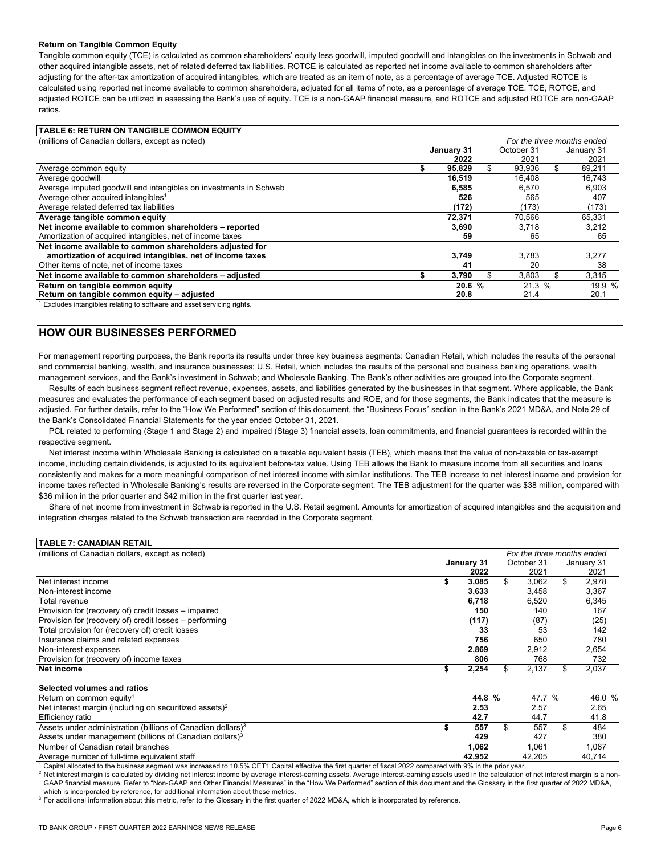### **Return on Tangible Common Equity**

Tangible common equity (TCE) is calculated as common shareholders' equity less goodwill, imputed goodwill and intangibles on the investments in Schwab and other acquired intangible assets, net of related deferred tax liabilities. ROTCE is calculated as reported net income available to common shareholders after adjusting for the after-tax amortization of acquired intangibles, which are treated as an item of note, as a percentage of average TCE. Adjusted ROTCE is calculated using reported net income available to common shareholders, adjusted for all items of note, as a percentage of average TCE. TCE, ROTCE, and adjusted ROTCE can be utilized in assessing the Bank's use of equity. TCE is a non-GAAP financial measure, and ROTCE and adjusted ROTCE are non-GAAP ratios.

| TABLE 6: RETURN ON TANGIBLE COMMON EQUITY                                                          |            |                            |            |  |            |
|----------------------------------------------------------------------------------------------------|------------|----------------------------|------------|--|------------|
| (millions of Canadian dollars, except as noted)                                                    |            | For the three months ended |            |  |            |
|                                                                                                    | January 31 |                            | October 31 |  | January 31 |
|                                                                                                    | 2022       |                            | 2021       |  | 2021       |
| Average common equity                                                                              | 95,829     |                            | 93,936     |  | 89,211     |
| Average goodwill                                                                                   | 16,519     |                            | 16.408     |  | 16.743     |
| Average imputed goodwill and intangibles on investments in Schwab                                  | 6,585      |                            | 6,570      |  | 6,903      |
| Average other acquired intangibles <sup>1</sup>                                                    | 526        |                            | 565        |  | 407        |
| Average related deferred tax liabilities                                                           | (172)      |                            | (173)      |  | (173)      |
| Average tangible common equity                                                                     | 72.371     |                            | 70.566     |  | 65,331     |
| Net income available to common shareholders - reported                                             | 3,690      |                            | 3.718      |  | 3.212      |
| Amortization of acquired intangibles, net of income taxes                                          | 59         |                            | 65         |  | 65         |
| Net income available to common shareholders adjusted for                                           |            |                            |            |  |            |
| amortization of acquired intangibles, net of income taxes                                          | 3,749      |                            | 3.783      |  | 3,277      |
| Other items of note, net of income taxes                                                           | 41         |                            | 20         |  | 38         |
| Net income available to common shareholders - adjusted                                             | 3,790      |                            | 3,803      |  | 3,315      |
| Return on tangible common equity                                                                   | 20.6%      |                            | 21.3 %     |  | 19.9 %     |
| Return on tangible common equity - adjusted                                                        | 20.8       |                            | 21.4       |  | 20.1       |
| Experience the constitution of the construction of the constitution of the constitution of all and |            |                            |            |  |            |

1 Excludes intangibles relating to software and asset servicing rights.

# **HOW OUR BUSINESSES PERFORMED**

For management reporting purposes, the Bank reports its results under three key business segments: Canadian Retail, which includes the results of the personal and commercial banking, wealth, and insurance businesses; U.S. Retail, which includes the results of the personal and business banking operations, wealth management services, and the Bank's investment in Schwab; and Wholesale Banking. The Bank's other activities are grouped into the Corporate segment.

Results of each business segment reflect revenue, expenses, assets, and liabilities generated by the businesses in that segment. Where applicable, the Bank measures and evaluates the performance of each segment based on adjusted results and ROE, and for those segments, the Bank indicates that the measure is adjusted. For further details, refer to the "How We Performed" section of this document, the "Business Focus" section in the Bank's 2021 MD&A, and Note 29 of the Bank's Consolidated Financial Statements for the year ended October 31, 2021.

PCL related to performing (Stage 1 and Stage 2) and impaired (Stage 3) financial assets, loan commitments, and financial guarantees is recorded within the respective segment.

Net interest income within Wholesale Banking is calculated on a taxable equivalent basis (TEB), which means that the value of non-taxable or tax-exempt income, including certain dividends, is adjusted to its equivalent before-tax value. Using TEB allows the Bank to measure income from all securities and loans consistently and makes for a more meaningful comparison of net interest income with similar institutions. The TEB increase to net interest income and provision for income taxes reflected in Wholesale Banking's results are reversed in the Corporate segment. The TEB adjustment for the quarter was \$38 million, compared with \$36 million in the prior quarter and \$42 million in the first quarter last year.

Share of net income from investment in Schwab is reported in the U.S. Retail segment. Amounts for amortization of acquired intangibles and the acquisition and integration charges related to the Schwab transaction are recorded in the Corporate segment.

| <b>TABLE 7: CANADIAN RETAIL</b>                                         |            |        |                            |            |     |            |  |
|-------------------------------------------------------------------------|------------|--------|----------------------------|------------|-----|------------|--|
| (millions of Canadian dollars, except as noted)                         |            |        | For the three months ended |            |     |            |  |
|                                                                         | January 31 |        |                            | October 31 |     | January 31 |  |
|                                                                         |            | 2022   |                            | 2021       |     | 2021       |  |
| Net interest income                                                     | \$         | 3,085  | \$                         | 3,062      | \$  | 2,978      |  |
| Non-interest income                                                     |            | 3,633  |                            | 3,458      |     | 3,367      |  |
| Total revenue                                                           |            | 6.718  |                            | 6,520      |     | 6,345      |  |
| Provision for (recovery of) credit losses – impaired                    |            | 150    |                            | 140        |     | 167        |  |
| Provision for (recovery of) credit losses – performing                  |            | (117)  |                            | (87)       |     | (25)       |  |
| Total provision for (recovery of) credit losses                         |            | 33     |                            | 53         |     | 142        |  |
| Insurance claims and related expenses                                   |            | 756    |                            | 650        |     | 780        |  |
| Non-interest expenses                                                   |            | 2,869  |                            | 2,912      |     | 2,654      |  |
| Provision for (recovery of) income taxes                                |            | 806    |                            | 768        |     | 732        |  |
| Net income                                                              | \$         | 2.254  |                            | 2,137      | \$. | 2,037      |  |
| Selected volumes and ratios                                             |            |        |                            |            |     |            |  |
| Return on common equity <sup>1</sup>                                    |            | 44.8 % |                            | 47.7 %     |     | 46.0 %     |  |
| Net interest margin (including on securitized assets) <sup>2</sup>      |            | 2.53   |                            | 2.57       |     | 2.65       |  |
| Efficiency ratio                                                        |            | 42.7   |                            | 44.7       |     | 41.8       |  |
| Assets under administration (billions of Canadian dollars) <sup>3</sup> | \$         | 557    | \$.                        | 557        | \$  | 484        |  |
| Assets under management (billions of Canadian dollars) <sup>3</sup>     |            | 429    |                            | 427        |     | 380        |  |
| Number of Canadian retail branches                                      |            | 1,062  |                            | 1,061      |     | 1,087      |  |
| Average number of full-time equivalent staff                            |            | 42,952 |                            | 42,205     |     | 40,714     |  |

1 Capital allocated to the business segment was increased to 10.5% CET1 Capital effective the first quarter of fiscal 2022 compared with 9% in the prior year.

 $^2$  Net interest margin is calculated by dividing net interest income by average interest-earning assets. Average interest-earning assets used in the calculation of net interest margin is a non-GAAP financial measure. Refer to "Non-GAAP and Other Financial Measures" in the "How We Performed" section of this document and the Glossary in the first quarter of 2022 MD&A, which is incorporated by reference, for additional information about these metrics.

<sup>3</sup> For additional information about this metric, refer to the Glossary in the first quarter of 2022 MD&A, which is incorporated by reference.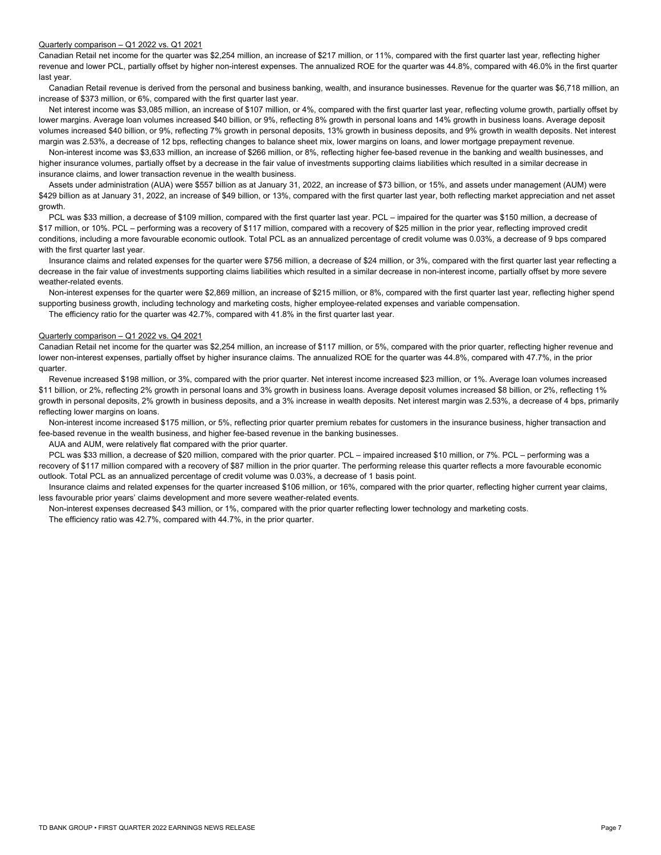#### Quarterly comparison – Q1 2022 vs. Q1 2021

Canadian Retail net income for the quarter was \$2,254 million, an increase of \$217 million, or 11%, compared with the first quarter last year, reflecting higher revenue and lower PCL, partially offset by higher non-interest expenses. The annualized ROE for the quarter was 44.8%, compared with 46.0% in the first quarter last year.

Canadian Retail revenue is derived from the personal and business banking, wealth, and insurance businesses. Revenue for the quarter was \$6,718 million, an increase of \$373 million, or 6%, compared with the first quarter last year.

Net interest income was \$3,085 million, an increase of \$107 million, or 4%, compared with the first quarter last year, reflecting volume growth, partially offset by lower margins. Average loan volumes increased \$40 billion, or 9%, reflecting 8% growth in personal loans and 14% growth in business loans. Average deposit volumes increased \$40 billion, or 9%, reflecting 7% growth in personal deposits, 13% growth in business deposits, and 9% growth in wealth deposits. Net interest margin was 2.53%, a decrease of 12 bps, reflecting changes to balance sheet mix, lower margins on loans, and lower mortgage prepayment revenue.

Non-interest income was \$3,633 million, an increase of \$266 million, or 8%, reflecting higher fee-based revenue in the banking and wealth businesses, and higher insurance volumes, partially offset by a decrease in the fair value of investments supporting claims liabilities which resulted in a similar decrease in insurance claims, and lower transaction revenue in the wealth business.

Assets under administration (AUA) were \$557 billion as at January 31, 2022, an increase of \$73 billion, or 15%, and assets under management (AUM) were \$429 billion as at January 31, 2022, an increase of \$49 billion, or 13%, compared with the first quarter last year, both reflecting market appreciation and net asset growth.

PCL was \$33 million, a decrease of \$109 million, compared with the first quarter last year. PCL – impaired for the quarter was \$150 million, a decrease of \$17 million, or 10%. PCL – performing was a recovery of \$117 million, compared with a recovery of \$25 million in the prior year, reflecting improved credit conditions, including a more favourable economic outlook. Total PCL as an annualized percentage of credit volume was 0.03%, a decrease of 9 bps compared with the first quarter last year.

Insurance claims and related expenses for the quarter were \$756 million, a decrease of \$24 million, or 3%, compared with the first quarter last year reflecting a decrease in the fair value of investments supporting claims liabilities which resulted in a similar decrease in non-interest income, partially offset by more severe weather-related events.

Non-interest expenses for the quarter were \$2,869 million, an increase of \$215 million, or 8%, compared with the first quarter last year, reflecting higher spend supporting business growth, including technology and marketing costs, higher employee-related expenses and variable compensation.

The efficiency ratio for the quarter was 42.7%, compared with 41.8% in the first quarter last year.

## Quarterly comparison – Q1 2022 vs. Q4 2021

Canadian Retail net income for the quarter was \$2,254 million, an increase of \$117 million, or 5%, compared with the prior quarter, reflecting higher revenue and lower non-interest expenses, partially offset by higher insurance claims. The annualized ROE for the quarter was 44.8%, compared with 47.7%, in the prior quarter.

Revenue increased \$198 million, or 3%, compared with the prior quarter. Net interest income increased \$23 million, or 1%. Average loan volumes increased \$11 billion, or 2%, reflecting 2% growth in personal loans and 3% growth in business loans. Average deposit volumes increased \$8 billion, or 2%, reflecting 1% growth in personal deposits, 2% growth in business deposits, and a 3% increase in wealth deposits. Net interest margin was 2.53%, a decrease of 4 bps, primarily reflecting lower margins on loans.

Non-interest income increased \$175 million, or 5%, reflecting prior quarter premium rebates for customers in the insurance business, higher transaction and fee-based revenue in the wealth business, and higher fee-based revenue in the banking businesses.

AUA and AUM, were relatively flat compared with the prior quarter.

PCL was \$33 million, a decrease of \$20 million, compared with the prior quarter. PCL – impaired increased \$10 million, or 7%. PCL – performing was a recovery of \$117 million compared with a recovery of \$87 million in the prior quarter. The performing release this quarter reflects a more favourable economic outlook. Total PCL as an annualized percentage of credit volume was 0.03%, a decrease of 1 basis point.

Insurance claims and related expenses for the quarter increased \$106 million, or 16%, compared with the prior quarter, reflecting higher current year claims, less favourable prior years' claims development and more severe weather-related events.

Non-interest expenses decreased \$43 million, or 1%, compared with the prior quarter reflecting lower technology and marketing costs. The efficiency ratio was 42.7%, compared with 44.7%, in the prior quarter.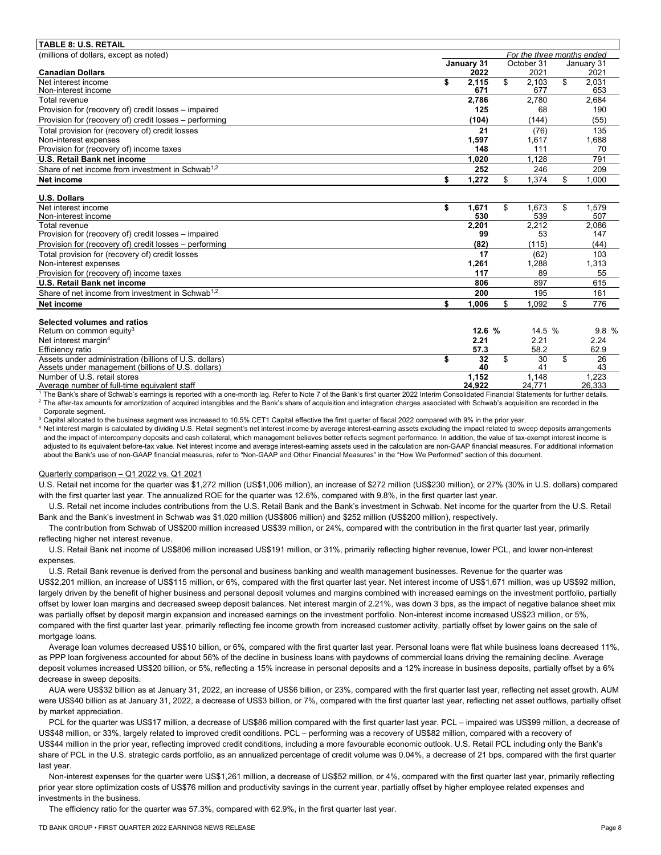| <b>TABLE 8: U.S. RETAIL</b>                                                                                                 |                            |    |                        |    |                      |
|-----------------------------------------------------------------------------------------------------------------------------|----------------------------|----|------------------------|----|----------------------|
| (millions of dollars, except as noted)                                                                                      | For the three months ended |    |                        |    |                      |
|                                                                                                                             | January 31                 |    | October 31             |    | January 31           |
| <b>Canadian Dollars</b>                                                                                                     | 2022                       |    | 2021                   |    | 2021                 |
| Net interest income                                                                                                         | \$<br>2.115                | \$ | 2.103                  | \$ | 2,031                |
| Non-interest income                                                                                                         | 671                        |    | 677                    |    | 653                  |
| Total revenue                                                                                                               | 2,786                      |    | 2,780                  |    | 2,684                |
| Provision for (recovery of) credit losses - impaired                                                                        | 125                        |    | 68                     |    | 190                  |
| Provision for (recovery of) credit losses – performing                                                                      | (104)                      |    | (144)                  |    | (55)                 |
| Total provision for (recovery of) credit losses                                                                             | 21                         |    | (76)                   |    | 135                  |
| Non-interest expenses                                                                                                       | 1,597                      |    | 1,617                  |    | 1,688                |
| Provision for (recovery of) income taxes                                                                                    | 148                        |    | 111                    |    | 70                   |
| U.S. Retail Bank net income                                                                                                 | 1.020                      |    | 1.128                  |    | 791                  |
| Share of net income from investment in Schwab <sup>1,2</sup>                                                                | 252                        |    | 246                    |    | 209                  |
| Net income                                                                                                                  | \$<br>1.272                | \$ | 1.374                  | \$ | 1,000                |
| <b>U.S. Dollars</b>                                                                                                         |                            |    |                        |    |                      |
| Net interest income<br>Non-interest income                                                                                  | \$<br>1.671<br>530         | \$ | 1.673<br>539           | \$ | 1.579<br>507         |
| Total revenue                                                                                                               | 2,201                      |    | 2,212                  |    | 2,086                |
| Provision for (recovery of) credit losses - impaired                                                                        | 99                         |    | 53                     |    | 147                  |
| Provision for (recovery of) credit losses - performing                                                                      | (82)                       |    | (115)                  |    | (44)                 |
| Total provision for (recovery of) credit losses                                                                             | 17                         |    | (62)                   |    | 103                  |
| Non-interest expenses                                                                                                       | 1,261                      |    | 1,288                  |    | 1,313                |
| Provision for (recovery of) income taxes                                                                                    | 117                        |    | 89                     |    | 55                   |
| U.S. Retail Bank net income                                                                                                 | 806                        |    | 897                    |    | 615                  |
| Share of net income from investment in Schwab <sup>1,2</sup>                                                                | 200                        |    | 195                    |    | 161                  |
| Net income                                                                                                                  | \$<br>1,006                | \$ | 1,092                  | \$ | 776                  |
| Selected volumes and ratios<br>Return on common equity <sup>3</sup><br>Net interest margin <sup>4</sup><br>Efficiency ratio | 12.6%<br>2.21<br>57.3      |    | 14.5 %<br>2.21<br>58.2 |    | 9.8%<br>2.24<br>62.9 |
| Assets under administration (billions of U.S. dollars)                                                                      | \$<br>32                   | \$ | 30                     | \$ | 26                   |
| Assets under management (billions of U.S. dollars)                                                                          | 40                         |    | 41                     |    | 43                   |
|                                                                                                                             |                            |    |                        |    |                      |

Number of U.S. retail stores **1,152** 1,148 1,223 Average number of full-time equivalent staff

The Bank's share of Schwab's earnings is reported with a one-month lag. Refer to Note 7 of the Bank's first guarter 2022 Interim Consolidated Financial Statements for further details. <sup>1</sup> The Bank's share of Schwab's earnings is reported with a one-month lag. Refer to Note 7 of the Bank's first quarter 2022 Interim Consolidated Financial Statements for further details.<br><sup>2</sup> The after-tax amounts for amor Corporate segment.

 $^3$  Capital allocated to the business segment was increased to 10.5% CET1 Capital effective the first quarter of fiscal 2022 compared with 9% in the prior year.<br><sup>4</sup> Net interest margin is calculated by dividing U.S. Peta

<sup>4</sup> Net interest margin is calculated by dividing U.S. Retail segment's net interest income by average interest-earning assets excluding the impact related to sweep deposits arrangements and the impact of intercompany deposits and cash collateral, which management believes better reflects segment performance. In addition, the value of tax-exempt interest income is adjusted to its equivalent before-tax value. Net interest income and average interest-earning assets used in the calculation are non-GAAP financial measures. For additional information about the Bank's use of non-GAAP financial measures, refer to "Non-GAAP and Other Financial Measures" in the "How We Performed" section of this document.

#### Quarterly comparison – Q1 2022 vs. Q1 2021

U.S. Retail net income for the quarter was \$1,272 million (US\$1,006 million), an increase of \$272 million (US\$230 million), or 27% (30% in U.S. dollars) compared with the first quarter last year. The annualized ROE for the quarter was 12.6%, compared with 9.8%, in the first quarter last year.

U.S. Retail net income includes contributions from the U.S. Retail Bank and the Bank's investment in Schwab. Net income for the quarter from the U.S. Retail Bank and the Bank's investment in Schwab was \$1,020 million (US\$806 million) and \$252 million (US\$200 million), respectively.

The contribution from Schwab of US\$200 million increased US\$39 million, or 24%, compared with the contribution in the first quarter last year, primarily reflecting higher net interest revenue.

U.S. Retail Bank net income of US\$806 million increased US\$191 million, or 31%, primarily reflecting higher revenue, lower PCL, and lower non-interest expenses.

U.S. Retail Bank revenue is derived from the personal and business banking and wealth management businesses. Revenue for the quarter was US\$2,201 million, an increase of US\$115 million, or 6%, compared with the first quarter last year. Net interest income of US\$1,671 million, was up US\$92 million, largely driven by the benefit of higher business and personal deposit volumes and margins combined with increased earnings on the investment portfolio, partially offset by lower loan margins and decreased sweep deposit balances. Net interest margin of 2.21%, was down 3 bps, as the impact of negative balance sheet mix was partially offset by deposit margin expansion and increased earnings on the investment portfolio. Non-interest income increased US\$23 million, or 5%, compared with the first quarter last year, primarily reflecting fee income growth from increased customer activity, partially offset by lower gains on the sale of mortgage loans.

Average loan volumes decreased US\$10 billion, or 6%, compared with the first quarter last year. Personal loans were flat while business loans decreased 11%, as PPP loan forgiveness accounted for about 56% of the decline in business loans with paydowns of commercial loans driving the remaining decline. Average deposit volumes increased US\$20 billion, or 5%, reflecting a 15% increase in personal deposits and a 12% increase in business deposits, partially offset by a 6% decrease in sweep deposits.

AUA were US\$32 billion as at January 31, 2022, an increase of US\$6 billion, or 23%, compared with the first quarter last year, reflecting net asset growth. AUM were US\$40 billion as at January 31, 2022, a decrease of US\$3 billion, or 7%, compared with the first quarter last year, reflecting net asset outflows, partially offset by market appreciation.

PCL for the quarter was US\$17 million, a decrease of US\$86 million compared with the first quarter last year. PCL – impaired was US\$99 million, a decrease of US\$48 million, or 33%, largely related to improved credit conditions. PCL – performing was a recovery of US\$82 million, compared with a recovery of US\$44 million in the prior year, reflecting improved credit conditions, including a more favourable economic outlook. U.S. Retail PCL including only the Bank's share of PCL in the U.S. strategic cards portfolio, as an annualized percentage of credit volume was 0.04%, a decrease of 21 bps, compared with the first quarter last year.

Non-interest expenses for the quarter were US\$1,261 million, a decrease of US\$52 million, or 4%, compared with the first quarter last year, primarily reflecting prior year store optimization costs of US\$76 million and productivity savings in the current year, partially offset by higher employee related expenses and investments in the business.

The efficiency ratio for the quarter was 57.3%, compared with 62.9%, in the first quarter last year.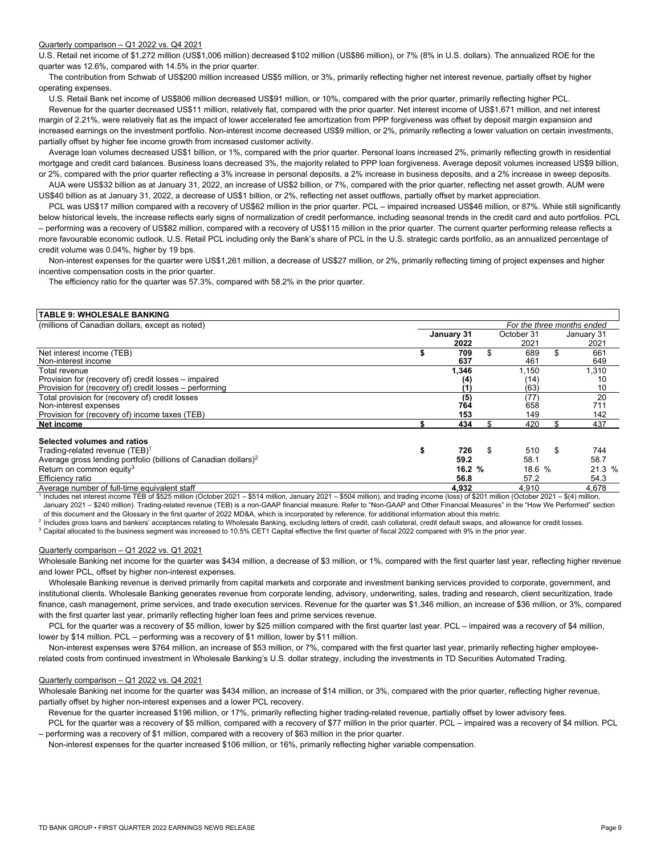#### Quarterly comparison – Q1 2022 vs. Q4 2021

U.S. Retail net income of \$1,272 million (US\$1,006 million) decreased \$102 million (US\$86 million), or 7% (8% in U.S. dollars). The annualized ROE for the quarter was 12.6%, compared with 14.5% in the prior quarter.

The contribution from Schwab of US\$200 million increased US\$5 million, or 3%, primarily reflecting higher net interest revenue, partially offset by higher operating expenses.

U.S. Retail Bank net income of US\$806 million decreased US\$91 million, or 10%, compared with the prior quarter, primarily reflecting higher PCL.

Revenue for the quarter decreased US\$11 million, relatively flat, compared with the prior quarter. Net interest income of US\$1,671 million, and net interest margin of 2.21%, were relatively flat as the impact of lower accelerated fee amortization from PPP forgiveness was offset by deposit margin expansion and increased earnings on the investment portfolio. Non-interest income decreased US\$9 million, or 2%, primarily reflecting a lower valuation on certain investments, partially offset by higher fee income growth from increased customer activity.

Average loan volumes decreased US\$1 billion, or 1%, compared with the prior quarter. Personal loans increased 2%, primarily reflecting growth in residential mortgage and credit card balances. Business loans decreased 3%, the majority related to PPP loan forgiveness. Average deposit volumes increased US\$9 billion, or 2%, compared with the prior quarter reflecting a 3% increase in personal deposits, a 2% increase in susus deposits, and a 2% increase in sweep deposits. AUA were US\$32 billion as at January 31, 2022, an increase of US\$2 billion, or 7%, compared with the prior quarter, reflecting net asset growth. AUM were

US\$40 billion as at January 31, 2022, a decrease of US\$1 billion, or 2%, reflecting net asset outflows, partially offset by market appreciation.

PCL was US\$17 million compared with a recovery of US\$62 million in the prior quarter. PCL – impaired increased US\$46 million, or 87%. While still significantly below historical levels, the increase reflects early signs of normalization of credit performance, including seasonal trends in the credit card and auto portfolios. PCL – performing was a recovery of US\$82 million, compared with a recovery of US\$115 million in the prior quarter. The current quarter performing release reflects a more favourable economic outlook. U.S. Retail PCL including only the Bank's share of PCL in the U.S. strategic cards portfolio, as an annualized percentage of credit volume was 0.04%, higher by 19 bps.

Non-interest expenses for the quarter were US\$1,261 million, a decrease of US\$27 million, or 2%, primarily reflecting timing of project expenses and higher incentive compensation costs in the prior quarter.

The efficiency ratio for the quarter was 57.3%, compared with 58.2% in the prior quarter.

# **TABLE 9: WHOLESALE BANKING**

| (millions of Canadian dollars, except as noted)                             |            | For the three months ended |     |            |     |            |
|-----------------------------------------------------------------------------|------------|----------------------------|-----|------------|-----|------------|
|                                                                             | January 31 |                            |     | October 31 |     | January 31 |
|                                                                             |            | 2022                       |     | 2021       |     | 2021       |
| Net interest income (TEB)                                                   |            | 709                        | \$. | 689        |     | 661        |
| Non-interest income                                                         |            | 637                        |     | 461        |     | 649        |
| Total revenue                                                               |            | 1.346                      |     | 1.150      |     | 1.310      |
| Provision for (recovery of) credit losses – impaired                        |            | (4)                        |     | (14)       |     | 10         |
| Provision for (recovery of) credit losses – performing                      |            | (1)                        |     | (63)       |     | 10         |
| Total provision for (recovery of) credit losses                             |            | (5)                        |     | (77)       |     | 20         |
| Non-interest expenses                                                       |            | 764                        |     | 658        |     | 711        |
| Provision for (recovery of) income taxes (TEB)                              |            | 153                        |     | 149        |     | 142        |
| Net income                                                                  |            | 434                        |     | 420        |     | 437        |
| Selected volumes and ratios                                                 |            |                            |     |            |     |            |
| Trading-related revenue (TEB) <sup>1</sup>                                  |            | 726                        | \$  | 510        | \$. | 744        |
|                                                                             |            | 59.2                       |     | 58.1       |     | 58.7       |
| Return on common equity <sup>3</sup>                                        |            | 16.2%                      |     | 18.6 %     |     | 21.3 %     |
| Efficiency ratio                                                            |            | 56.8                       |     | 57.2       |     | 54.3       |
| Average gross lending portfolio (billions of Canadian dollars) <sup>2</sup> |            |                            |     |            |     |            |

Average number of full-time equivalent staff **4,978 4,932** 4,910 **4,678** 1 Includes net interest income TEB of \$525 million (October 2021 – \$514 million, January 2021 – \$504 million), and trading income (loss) of \$201 million (October 2021 – \$(4) million, January 2021 – \$240 million). Trading-related revenue (TEB) is a non-GAAP financial measure. Refer to "Non-GAAP and Other Financial Measures" in the "How We Performed" section

of this document and the Glossary in the first quarter of 2022 MD&A, which is incorporated by reference, for additional information about this metric.<br><sup>2</sup> Includes gross loans and bankers' acceptances relating to Wholesale

 $3$  Capital allocated to the business segment was increased to 10.5% CET1 Capital effective the first quarter of fiscal 2022 compared with 9% in the prior year.

# Quarterly comparison – Q1 2022 vs. Q1 2021

Wholesale Banking net income for the quarter was \$434 million, a decrease of \$3 million, or 1%, compared with the first quarter last year, reflecting higher revenue and lower PCL, offset by higher non-interest expenses.

Wholesale Banking revenue is derived primarily from capital markets and corporate and investment banking services provided to corporate, government, and institutional clients. Wholesale Banking generates revenue from corporate lending, advisory, underwriting, sales, trading and research, client securitization, trade finance, cash management, prime services, and trade execution services. Revenue for the quarter was \$1,346 million, an increase of \$36 million, or 3%, compared with the first quarter last year, primarily reflecting higher loan fees and prime services revenue.

PCL for the quarter was a recovery of \$5 million, lower by \$25 million compared with the first quarter last year. PCL – impaired was a recovery of \$4 million, lower by \$14 million. PCL – performing was a recovery of \$1 million, lower by \$11 million.

Non-interest expenses were \$764 million, an increase of \$53 million, or 7%, compared with the first quarter last year, primarily reflecting higher employeerelated costs from continued investment in Wholesale Banking's U.S. dollar strategy, including the investments in TD Securities Automated Trading.

# Quarterly comparison – Q1 2022 vs. Q4 2021

Wholesale Banking net income for the quarter was \$434 million, an increase of \$14 million, or 3%, compared with the prior quarter, reflecting higher revenue, partially offset by higher non-interest expenses and a lower PCL recovery.

Revenue for the quarter increased \$196 million, or 17%, primarily reflecting higher trading-related revenue, partially offset by lower advisory fees. PCL for the quarter was a recovery of \$5 million, compared with a recovery of \$77 million in the prior quarter. PCL – impaired was a recovery of \$4 million. PCL

– performing was a recovery of \$1 million, compared with a recovery of \$63 million in the prior quarter.

Non-interest expenses for the quarter increased \$106 million, or 16%, primarily reflecting higher variable compensation.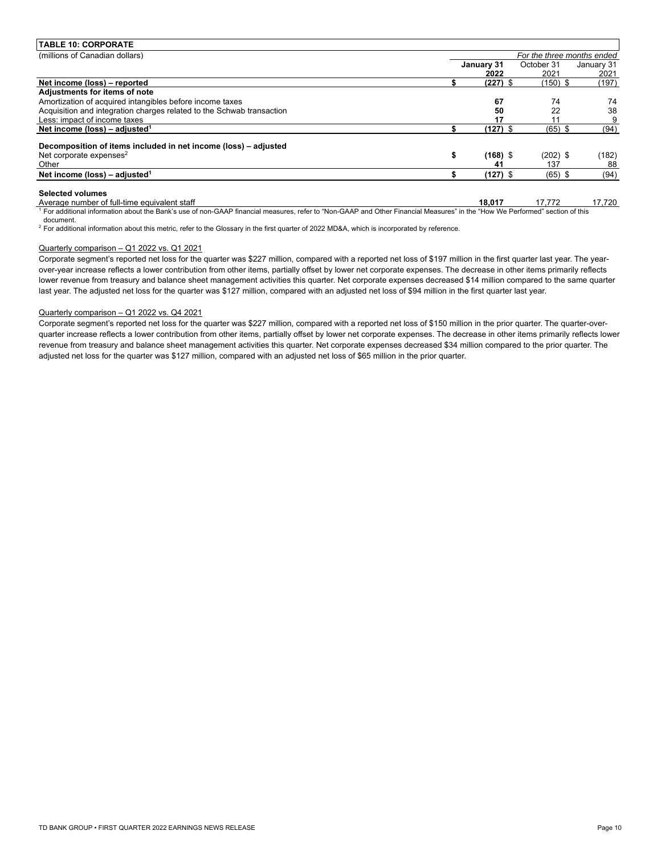| <b>TABLE 10: CORPORATE</b>                                                                                                                                                 |                            |                  |                   |             |  |  |  |
|----------------------------------------------------------------------------------------------------------------------------------------------------------------------------|----------------------------|------------------|-------------------|-------------|--|--|--|
| (millions of Canadian dollars)                                                                                                                                             | For the three months ended |                  |                   |             |  |  |  |
|                                                                                                                                                                            |                            | January 31       | October 31        | January 31  |  |  |  |
|                                                                                                                                                                            |                            | 2022             | 2021              | 2021        |  |  |  |
| Net income (loss) - reported                                                                                                                                               |                            | $(227)$ \$       | $(150)$ \$        | (197)       |  |  |  |
| Adjustments for items of note                                                                                                                                              |                            |                  |                   |             |  |  |  |
| Amortization of acquired intangibles before income taxes                                                                                                                   |                            | 67               | 74                | 74          |  |  |  |
| Acquisition and integration charges related to the Schwab transaction                                                                                                      |                            | 50               | 22                | 38          |  |  |  |
| Less: impact of income taxes                                                                                                                                               |                            | 17               |                   | 9           |  |  |  |
| Net income (loss) - adjusted <sup>1</sup>                                                                                                                                  |                            | (127) \$         | $(65)$ \$         | (94)        |  |  |  |
| Decomposition of items included in net income (loss) - adjusted                                                                                                            |                            |                  |                   |             |  |  |  |
| Net corporate expenses $2$<br>Other                                                                                                                                        | \$                         | $(168)$ \$<br>41 | $(202)$ \$<br>137 | (182)<br>88 |  |  |  |
| Net income (loss) – adjusted <sup>1</sup>                                                                                                                                  |                            | $(127)$ \$       | $(65)$ \$         | (94)        |  |  |  |
| <b>Selected volumes</b>                                                                                                                                                    |                            |                  |                   |             |  |  |  |
| Average number of full-time equivalent staff                                                                                                                               |                            | 18.017           | 17.772            | 17.720      |  |  |  |
| For additional information about the Bank's use of non-CAAD financial measures, refer to "Non-CAAD and Other Einancial Measures" in the "How We Performed" section of this |                            |                  |                   |             |  |  |  |

 For additional information about the Bank's use of non-GAAP financial measures, refer to "Non-GAAP and Other Financial Measures" in the "How We Performed" section of this document.

 $^2$  For additional information about this metric, refer to the Glossary in the first quarter of 2022 MD&A, which is incorporated by reference.

# Quarterly comparison – Q1 2022 vs. Q1 2021

Corporate segment's reported net loss for the quarter was \$227 million, compared with a reported net loss of \$197 million in the first quarter last year. The yearover-year increase reflects a lower contribution from other items, partially offset by lower net corporate expenses. The decrease in other items primarily reflects lower revenue from treasury and balance sheet management activities this quarter. Net corporate expenses decreased \$14 million compared to the same quarter last year. The adjusted net loss for the quarter was \$127 million, compared with an adjusted net loss of \$94 million in the first quarter last year.

## Quarterly comparison – Q1 2022 vs. Q4 2021

Corporate segment's reported net loss for the quarter was \$227 million, compared with a reported net loss of \$150 million in the prior quarter. The quarter-overquarter increase reflects a lower contribution from other items, partially offset by lower net corporate expenses. The decrease in other items primarily reflects lower revenue from treasury and balance sheet management activities this quarter. Net corporate expenses decreased \$34 million compared to the prior quarter. The adjusted net loss for the quarter was \$127 million, compared with an adjusted net loss of \$65 million in the prior quarter.